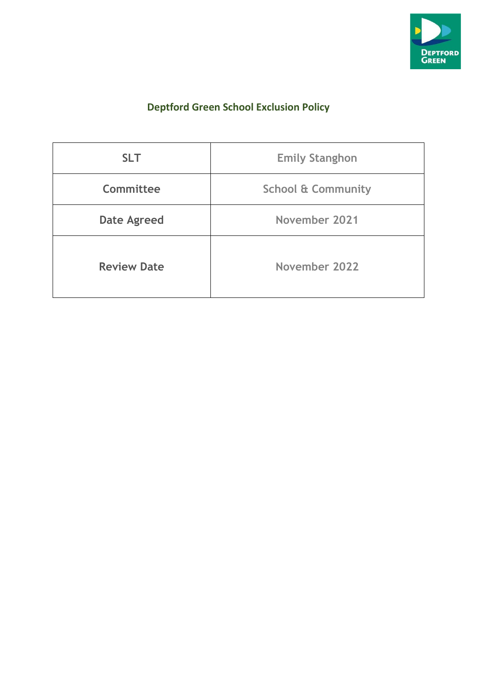

# **Deptford Green School Exclusion Policy**

| <b>SLT</b>         | <b>Emily Stanghon</b>         |
|--------------------|-------------------------------|
| Committee          | <b>School &amp; Community</b> |
| <b>Date Agreed</b> | November 2021                 |
| <b>Review Date</b> | November 2022                 |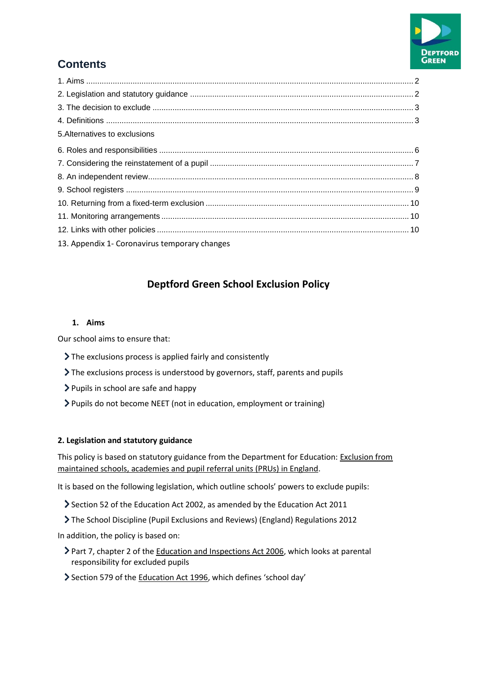

# **Contents**

| 5. Alternatives to exclusions                 |  |
|-----------------------------------------------|--|
|                                               |  |
|                                               |  |
|                                               |  |
|                                               |  |
|                                               |  |
|                                               |  |
|                                               |  |
| 13. Appendix 1- Coronavirus temporary changes |  |

## **Deptford Green School Exclusion Policy**

## **1. Aims**

Our school aims to ensure that:

- The exclusions process is applied fairly and consistently
- The exclusions process is understood by governors, staff, parents and pupils
- $\triangleright$  Pupils in school are safe and happy
- Pupils do not become NEET (not in education, employment or training)

## **2. Legislation and statutory guidance**

This policy is based on statutory guidance from the Department for Education: [Exclusion from](https://www.gov.uk/government/publications/school-exclusion)  [maintained schools, academies and pupil referral units \(PRUs\) in England.](https://www.gov.uk/government/publications/school-exclusion)

It is based on the following legislation, which outline schools' powers to exclude pupils:

- Section 52 of the [Education Act 2002,](http://www.legislation.gov.uk/ukpga/2002/32/section/52) as amended by th[e Education Act 2011](http://www.legislation.gov.uk/ukpga/2011/21/contents/enacted)
- [The School Discipline \(Pupil Exclusions and Reviews\) \(England\) Regulations 2012](http://www.legislation.gov.uk/uksi/2012/1033/made)

In addition, the policy is based on:

- Part 7, chapter 2 of the [Education and Inspections Act 2006,](http://www.legislation.gov.uk/ukpga/2006/40/part/7/chapter/2) which looks at parental responsibility for excluded pupils
- Section 579 of th[e Education Act 1996](http://www.legislation.gov.uk/ukpga/1996/56/section/579), which defines 'school day'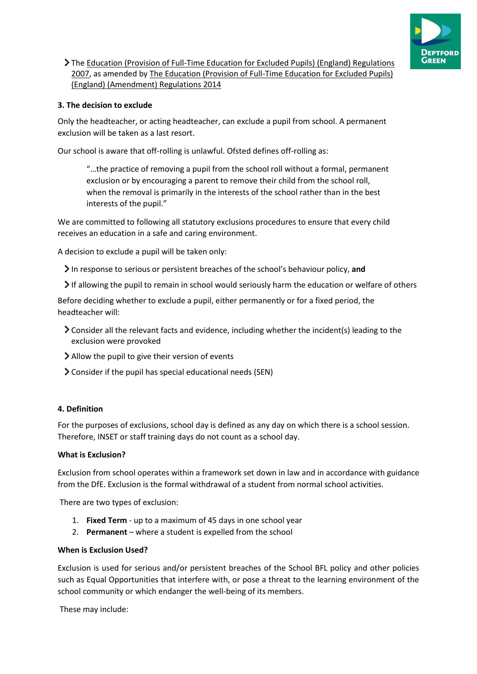

The [Education \(Provision of Full-Time Education for Excluded Pupils\) \(England\) Regulations](http://www.legislation.gov.uk/uksi/2007/1870/contents/made)  [2007,](http://www.legislation.gov.uk/uksi/2007/1870/contents/made) as amended b[y The Education \(Provision of Full-Time Education for Excluded Pupils\)](http://www.legislation.gov.uk/uksi/2014/3216/contents/made)  [\(England\) \(Amendment\) Regulations 2014](http://www.legislation.gov.uk/uksi/2014/3216/contents/made)

## **3. The decision to exclude**

Only the headteacher, or acting headteacher, can exclude a pupil from school. A permanent exclusion will be taken as a last resort.

Our school is aware that off-rolling is unlawful. Ofsted defines off-rolling as:

"…the practice of removing a pupil from the school roll without a formal, permanent exclusion or by encouraging a parent to remove their child from the school roll, when the removal is primarily in the interests of the school rather than in the best interests of the pupil."

We are committed to following all statutory exclusions procedures to ensure that every child receives an education in a safe and caring environment.

A decision to exclude a pupil will be taken only:

In response to serious or persistent breaches of the school's behaviour policy, **and**

 $\triangleright$  If allowing the pupil to remain in school would seriously harm the education or welfare of others

Before deciding whether to exclude a pupil, either permanently or for a fixed period, the headteacher will:

- $\geq$  Consider all the relevant facts and evidence, including whether the incident(s) leading to the exclusion were provoked
- Allow the pupil to give their version of events
- Consider if the pupil has special educational needs (SEN)

#### **4. Definition**

For the purposes of exclusions, school day is defined as any day on which there is a school session. Therefore, INSET or staff training days do not count as a school day.

#### **What is Exclusion?**

Exclusion from school operates within a framework set down in law and in accordance with guidance from the DfE. Exclusion is the formal withdrawal of a student from normal school activities.

There are two types of exclusion:

- 1. **Fixed Term** up to a maximum of 45 days in one school year
- 2. **Permanent** where a student is expelled from the school

#### **When is Exclusion Used?**

Exclusion is used for serious and/or persistent breaches of the School BFL policy and other policies such as Equal Opportunities that interfere with, or pose a threat to the learning environment of the school community or which endanger the well-being of its members.

These may include: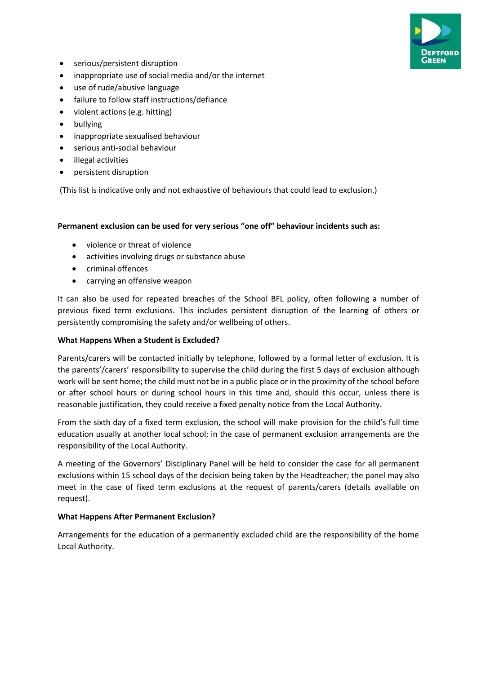

- serious/persistent disruption
- inappropriate use of social media and/or the internet
- use of rude/abusive language
- failure to follow staff instructions/defiance
- violent actions (e.g. hitting)
- bullying
- inappropriate sexualised behaviour
- serious anti-social behaviour
- illegal activities
- persistent disruption

(This list is indicative only and not exhaustive of behaviours that could lead to exclusion.)

#### **Permanent exclusion can be used for very serious "one off" behaviour incidents such as:**

- violence or threat of violence
- activities involving drugs or substance abuse
- criminal offences
- carrying an offensive weapon

It can also be used for repeated breaches of the School BFL policy, often following a number of previous fixed term exclusions. This includes persistent disruption of the learning of others or persistently compromising the safety and/or wellbeing of others.

#### **What Happens When a Student is Excluded?**

Parents/carers will be contacted initially by telephone, followed by a formal letter of exclusion. It is the parents'/carers' responsibility to supervise the child during the first 5 days of exclusion although work will be sent home; the child must not be in a public place or in the proximity of the school before or after school hours or during school hours in this time and, should this occur, unless there is reasonable justification, they could receive a fixed penalty notice from the Local Authority.

From the sixth day of a fixed term exclusion, the school will make provision for the child's full time education usually at another local school; in the case of permanent exclusion arrangements are the responsibility of the Local Authority.

A meeting of the Governors' Disciplinary Panel will be held to consider the case for all permanent exclusions within 15 school days of the decision being taken by the Headteacher; the panel may also meet in the case of fixed term exclusions at the request of parents/carers (details available on request).

#### **What Happens After Permanent Exclusion?**

Arrangements for the education of a permanently excluded child are the responsibility of the home Local Authority.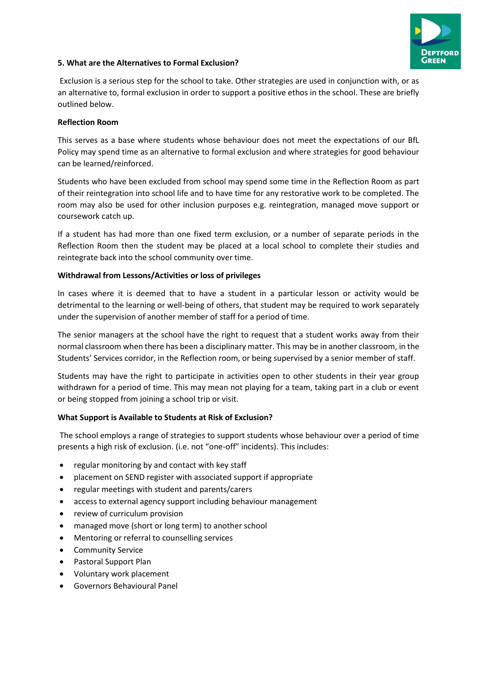

## **5. What are the Alternatives to Formal Exclusion?**

Exclusion is a serious step for the school to take. Other strategies are used in conjunction with, or as an alternative to, formal exclusion in order to support a positive ethos in the school. These are briefly outlined below.

#### **Reflection Room**

This serves as a base where students whose behaviour does not meet the expectations of our BfL Policy may spend time as an alternative to formal exclusion and where strategies for good behaviour can be learned/reinforced.

Students who have been excluded from school may spend some time in the Reflection Room as part of their reintegration into school life and to have time for any restorative work to be completed. The room may also be used for other inclusion purposes e.g. reintegration, managed move support or coursework catch up.

If a student has had more than one fixed term exclusion, or a number of separate periods in the Reflection Room then the student may be placed at a local school to complete their studies and reintegrate back into the school community over time.

### **Withdrawal from Lessons/Activities or loss of privileges**

In cases where it is deemed that to have a student in a particular lesson or activity would be detrimental to the learning or well-being of others, that student may be required to work separately under the supervision of another member of staff for a period of time.

The senior managers at the school have the right to request that a student works away from their normal classroom when there has been a disciplinary matter. This may be in another classroom, in the Students' Services corridor, in the Reflection room, or being supervised by a senior member of staff.

Students may have the right to participate in activities open to other students in their year group withdrawn for a period of time. This may mean not playing for a team, taking part in a club or event or being stopped from joining a school trip or visit.

## **What Support is Available to Students at Risk of Exclusion?**

The school employs a range of strategies to support students whose behaviour over a period of time presents a high risk of exclusion. (i.e. not "one-off" incidents). This includes:

- regular monitoring by and contact with key staff
- placement on SEND register with associated support if appropriate
- regular meetings with student and parents/carers
- access to external agency support including behaviour management
- review of curriculum provision
- managed move (short or long term) to another school
- Mentoring or referral to counselling services
- Community Service
- Pastoral Support Plan
- Voluntary work placement
- Governors Behavioural Panel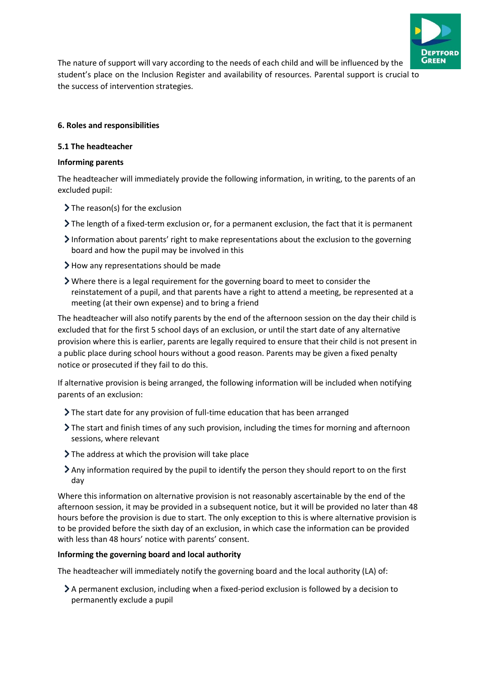

The nature of support will vary according to the needs of each child and will be influenced by the student's place on the Inclusion Register and availability of resources. Parental support is crucial to the success of intervention strategies.

## **6. Roles and responsibilities**

## **5.1 The headteacher**

## **Informing parents**

The headteacher will immediately provide the following information, in writing, to the parents of an excluded pupil:

- $\sum$  The reason(s) for the exclusion
- The length of a fixed-term exclusion or, for a permanent exclusion, the fact that it is permanent
- Information about parents' right to make representations about the exclusion to the governing board and how the pupil may be involved in this
- How any representations should be made
- Where there is a legal requirement for the governing board to meet to consider the reinstatement of a pupil, and that parents have a right to attend a meeting, be represented at a meeting (at their own expense) and to bring a friend

The headteacher will also notify parents by the end of the afternoon session on the day their child is excluded that for the first 5 school days of an exclusion, or until the start date of any alternative provision where this is earlier, parents are legally required to ensure that their child is not present in a public place during school hours without a good reason. Parents may be given a fixed penalty notice or prosecuted if they fail to do this.

If alternative provision is being arranged, the following information will be included when notifying parents of an exclusion:

- The start date for any provision of full-time education that has been arranged
- The start and finish times of any such provision, including the times for morning and afternoon sessions, where relevant
- The address at which the provision will take place
- Any information required by the pupil to identify the person they should report to on the first day

Where this information on alternative provision is not reasonably ascertainable by the end of the afternoon session, it may be provided in a subsequent notice, but it will be provided no later than 48 hours before the provision is due to start. The only exception to this is where alternative provision is to be provided before the sixth day of an exclusion, in which case the information can be provided with less than 48 hours' notice with parents' consent.

## **Informing the governing board and local authority**

The headteacher will immediately notify the governing board and the local authority (LA) of:

A permanent exclusion, including when a fixed-period exclusion is followed by a decision to permanently exclude a pupil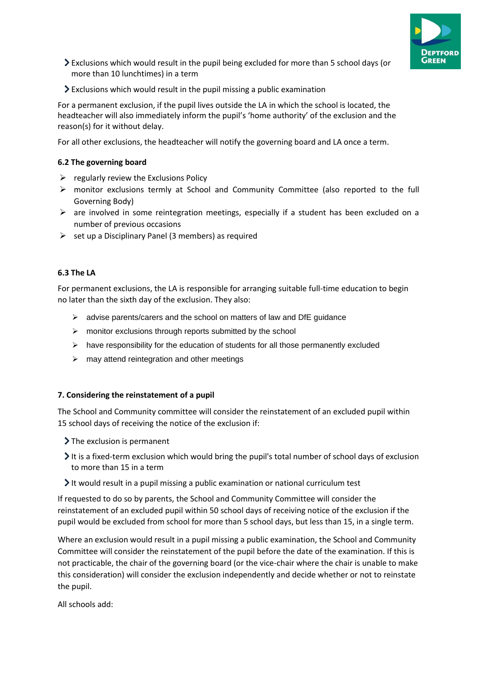

- Exclusions which would result in the pupil being excluded for more than 5 school days (or more than 10 lunchtimes) in a term
- Exclusions which would result in the pupil missing a public examination

For a permanent exclusion, if the pupil lives outside the LA in which the school is located, the headteacher will also immediately inform the pupil's 'home authority' of the exclusion and the reason(s) for it without delay.

For all other exclusions, the headteacher will notify the governing board and LA once a term.

### **6.2 The governing board**

- $\triangleright$  regularly review the Exclusions Policy
- ➢ monitor exclusions termly at School and Community Committee (also reported to the full Governing Body)
- ➢ are involved in some reintegration meetings, especially if a student has been excluded on a number of previous occasions
- $\triangleright$  set up a Disciplinary Panel (3 members) as required

### **6.3 The LA**

For permanent exclusions, the LA is responsible for arranging suitable full-time education to begin no later than the sixth day of the exclusion. They also:

- ➢ advise parents/carers and the school on matters of law and DfE guidance
- ➢ monitor exclusions through reports submitted by the school
- $\triangleright$  have responsibility for the education of students for all those permanently excluded
- $\triangleright$  may attend reintegration and other meetings

#### **7. Considering the reinstatement of a pupil**

The School and Community committee will consider the reinstatement of an excluded pupil within 15 school days of receiving the notice of the exclusion if:

- $\sum$  The exclusion is permanent
- It is a fixed-term exclusion which would bring the pupil's total number of school days of exclusion to more than 15 in a term
- $\blacktriangleright$  It would result in a pupil missing a public examination or national curriculum test

If requested to do so by parents, the School and Community Committee will consider the reinstatement of an excluded pupil within 50 school days of receiving notice of the exclusion if the pupil would be excluded from school for more than 5 school days, but less than 15, in a single term.

Where an exclusion would result in a pupil missing a public examination, the School and Community Committee will consider the reinstatement of the pupil before the date of the examination. If this is not practicable, the chair of the governing board (or the vice-chair where the chair is unable to make this consideration) will consider the exclusion independently and decide whether or not to reinstate the pupil.

All schools add: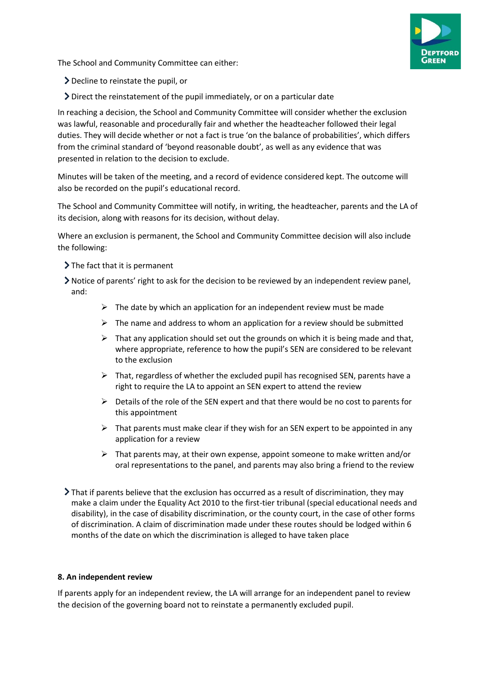The School and Community Committee can either:

- Decline to reinstate the pupil, or
- Direct the reinstatement of the pupil immediately, or on a particular date

In reaching a decision, the School and Community Committee will consider whether the exclusion was lawful, reasonable and procedurally fair and whether the headteacher followed their legal duties. They will decide whether or not a fact is true 'on the balance of probabilities', which differs from the criminal standard of 'beyond reasonable doubt', as well as any evidence that was presented in relation to the decision to exclude.

Minutes will be taken of the meeting, and a record of evidence considered kept. The outcome will also be recorded on the pupil's educational record.

The School and Community Committee will notify, in writing, the headteacher, parents and the LA of its decision, along with reasons for its decision, without delay.

Where an exclusion is permanent, the School and Community Committee decision will also include the following:

- $\sum$  The fact that it is permanent
- Notice of parents' right to ask for the decision to be reviewed by an independent review panel, and:
	- $\triangleright$  The date by which an application for an independent review must be made
	- $\triangleright$  The name and address to whom an application for a review should be submitted
	- $\triangleright$  That any application should set out the grounds on which it is being made and that, where appropriate, reference to how the pupil's SEN are considered to be relevant to the exclusion
	- $\triangleright$  That, regardless of whether the excluded pupil has recognised SEN, parents have a right to require the LA to appoint an SEN expert to attend the review
	- $\triangleright$  Details of the role of the SEN expert and that there would be no cost to parents for this appointment
	- $\triangleright$  That parents must make clear if they wish for an SEN expert to be appointed in any application for a review
	- $\triangleright$  That parents may, at their own expense, appoint someone to make written and/or oral representations to the panel, and parents may also bring a friend to the review
- That if parents believe that the exclusion has occurred as a result of discrimination, they may make a claim under the Equality Act 2010 to the first-tier tribunal (special educational needs and disability), in the case of disability discrimination, or the county court, in the case of other forms of discrimination. A claim of discrimination made under these routes should be lodged within 6 months of the date on which the discrimination is alleged to have taken place

## **8. An independent review**

If parents apply for an independent review, the LA will arrange for an independent panel to review the decision of the governing board not to reinstate a permanently excluded pupil.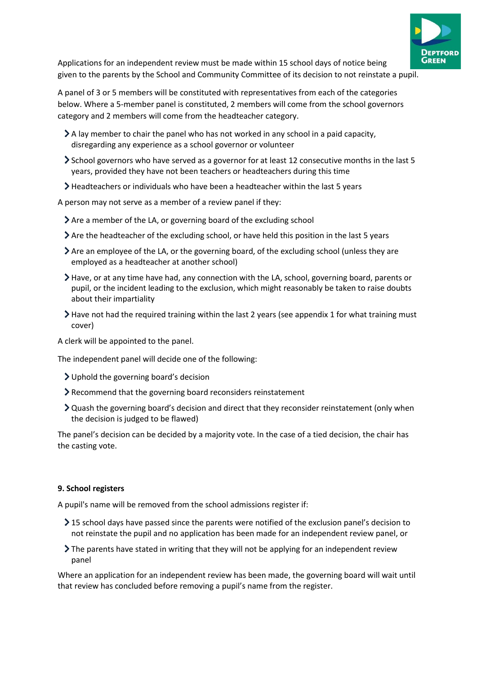

Applications for an independent review must be made within 15 school days of notice being given to the parents by the School and Community Committee of its decision to not reinstate a pupil.

A panel of 3 or 5 members will be constituted with representatives from each of the categories below. Where a 5-member panel is constituted, 2 members will come from the school governors category and 2 members will come from the headteacher category.

- $\geq$  A lay member to chair the panel who has not worked in any school in a paid capacity, disregarding any experience as a school governor or volunteer
- School governors who have served as a governor for at least 12 consecutive months in the last 5 years, provided they have not been teachers or headteachers during this time
- Headteachers or individuals who have been a headteacher within the last 5 years

A person may not serve as a member of a review panel if they:

- Are a member of the LA, or governing board of the excluding school
- Are the headteacher of the excluding school, or have held this position in the last 5 years
- $\geq$  Are an employee of the LA, or the governing board, of the excluding school (unless they are employed as a headteacher at another school)
- Have, or at any time have had, any connection with the LA, school, governing board, parents or pupil, or the incident leading to the exclusion, which might reasonably be taken to raise doubts about their impartiality
- $\blacktriangleright$  Have not had the required training within the last 2 years (see appendix 1 for what training must cover)

A clerk will be appointed to the panel.

The independent panel will decide one of the following:

- Uphold the governing board's decision
- Recommend that the governing board reconsiders reinstatement
- Quash the governing board's decision and direct that they reconsider reinstatement (only when the decision is judged to be flawed)

The panel's decision can be decided by a majority vote. In the case of a tied decision, the chair has the casting vote.

#### **9. School registers**

A pupil's name will be removed from the school admissions register if:

- $\geq$  15 school days have passed since the parents were notified of the exclusion panel's decision to not reinstate the pupil and no application has been made for an independent review panel, or
- The parents have stated in writing that they will not be applying for an independent review panel

Where an application for an independent review has been made, the governing board will wait until that review has concluded before removing a pupil's name from the register.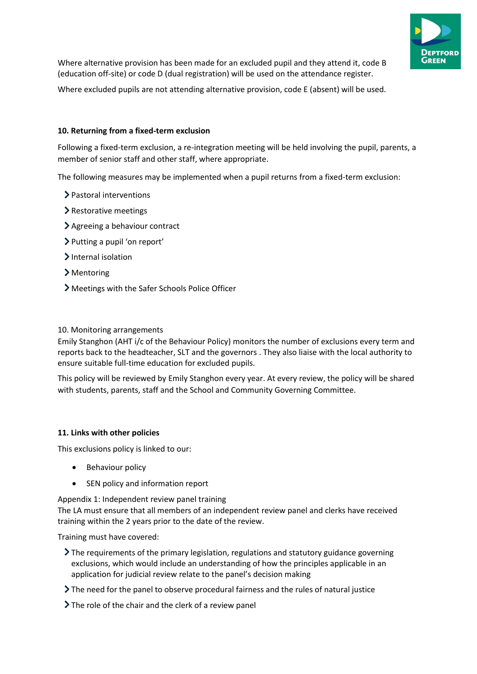

Where alternative provision has been made for an excluded pupil and they attend it, code B (education off-site) or code D (dual registration) will be used on the attendance register.

Where excluded pupils are not attending alternative provision, code E (absent) will be used.

### **10. Returning from a fixed-term exclusion**

Following a fixed-term exclusion, a re-integration meeting will be held involving the pupil, parents, a member of senior staff and other staff, where appropriate.

The following measures may be implemented when a pupil returns from a fixed-term exclusion:

- > Pastoral interventions
- > Restorative meetings
- Agreeing a behaviour contract
- Putting a pupil 'on report'
- > Internal isolation
- Mentoring
- Meetings with the Safer Schools Police Officer

#### 10. Monitoring arrangements

Emily Stanghon (AHT i/c of the Behaviour Policy) monitors the number of exclusions every term and reports back to the headteacher, SLT and the governors . They also liaise with the local authority to ensure suitable full-time education for excluded pupils.

This policy will be reviewed by Emily Stanghon every year. At every review, the policy will be shared with students, parents, staff and the School and Community Governing Committee.

#### **11. Links with other policies**

This exclusions policy is linked to our:

- Behaviour policy
- SEN policy and information report

Appendix 1: Independent review panel training

The LA must ensure that all members of an independent review panel and clerks have received training within the 2 years prior to the date of the review.

Training must have covered:

- $\sum$  The requirements of the primary legislation, regulations and statutory guidance governing exclusions, which would include an understanding of how the principles applicable in an application for judicial review relate to the panel's decision making
- The need for the panel to observe procedural fairness and the rules of natural justice
- If The role of the chair and the clerk of a review panel